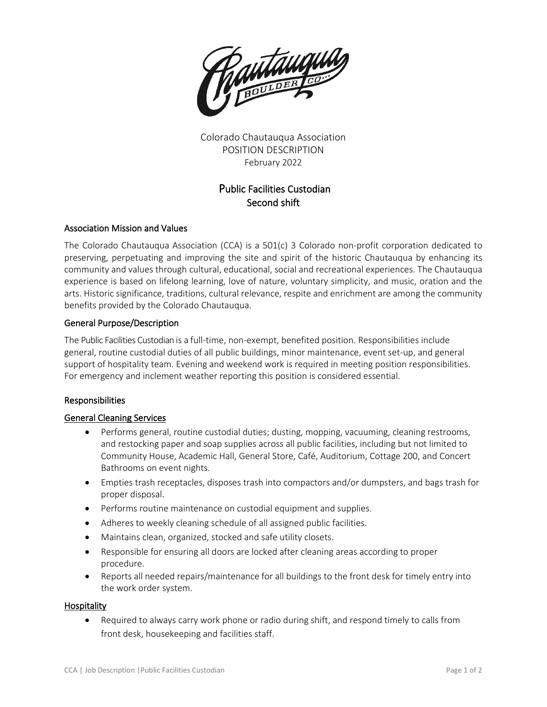

Colorado Chautauqua Association POSITION DESCRIPTION February 2022

# Public Facilities Custodian Second shift

# Association Mission and Values

The Colorado Chautauqua Association (CCA) is a 501(c) 3 Colorado non-profit corporation dedicated to preserving, perpetuating and improving the site and spirit of the historic Chautauqua by enhancing its community and values through cultural, educational, social and recreational experiences. The Chautauqua experience is based on lifelong learning, love of nature, voluntary simplicity, and music, oration and the arts. Historic significance, traditions, cultural relevance, respite and enrichment are among the community benefits provided by the Colorado Chautauqua.

# General Purpose/Description

The Public Facilities Custodian is a full-time, non-exempt, benefited position. Responsibilities include general, routine custodial duties of all public buildings, minor maintenance, event set-up, and general support of hospitality team. Evening and weekend work is required in meeting position responsibilities. For emergency and inclement weather reporting this position is considered essential.

# Responsibilities

# General Cleaning Services

- Performs general, routine custodial duties; dusting, mopping, vacuuming, cleaning restrooms, and restocking paper and soap supplies across all public facilities, including but not limited to Community House, Academic Hall, General Store, Café, Auditorium, Cottage 200, and Concert Bathrooms on event nights.
- Empties trash receptacles, disposes trash into compactors and/or dumpsters, and bags trash for proper disposal.
- Performs routine maintenance on custodial equipment and supplies.
- Adheres to weekly cleaning schedule of all assigned public facilities.
- Maintains clean, organized, stocked and safe utility closets.
- Responsible for ensuring all doors are locked after cleaning areas according to proper procedure.
- Reports all needed repairs/maintenance for all buildings to the front desk for timely entry into the work order system.

# **Hospitality**

• Required to always carry work phone or radio during shift, and respond timely to calls from front desk, housekeeping and facilities staff.